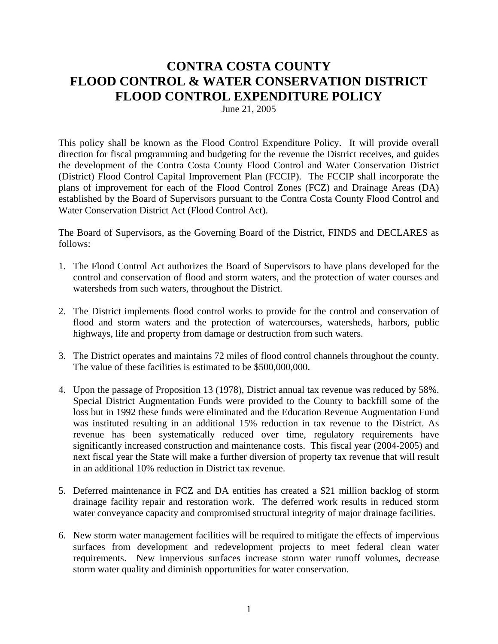# **CONTRA COSTA COUNTY FLOOD CONTROL & WATER CONSERVATION DISTRICT FLOOD CONTROL EXPENDITURE POLICY**

June 21, 2005

This policy shall be known as the Flood Control Expenditure Policy. It will provide overall direction for fiscal programming and budgeting for the revenue the District receives, and guides the development of the Contra Costa County Flood Control and Water Conservation District (District) Flood Control Capital Improvement Plan (FCCIP). The FCCIP shall incorporate the plans of improvement for each of the Flood Control Zones (FCZ) and Drainage Areas (DA) established by the Board of Supervisors pursuant to the Contra Costa County Flood Control and Water Conservation District Act (Flood Control Act).

The Board of Supervisors, as the Governing Board of the District, FINDS and DECLARES as follows:

- 1. The Flood Control Act authorizes the Board of Supervisors to have plans developed for the control and conservation of flood and storm waters, and the protection of water courses and watersheds from such waters, throughout the District.
- 2. The District implements flood control works to provide for the control and conservation of flood and storm waters and the protection of watercourses, watersheds, harbors, public highways, life and property from damage or destruction from such waters.
- 3. The District operates and maintains 72 miles of flood control channels throughout the county. The value of these facilities is estimated to be \$500,000,000.
- 4. Upon the passage of Proposition 13 (1978), District annual tax revenue was reduced by 58%. Special District Augmentation Funds were provided to the County to backfill some of the loss but in 1992 these funds were eliminated and the Education Revenue Augmentation Fund was instituted resulting in an additional 15% reduction in tax revenue to the District. As revenue has been systematically reduced over time, regulatory requirements have significantly increased construction and maintenance costs. This fiscal year (2004-2005) and next fiscal year the State will make a further diversion of property tax revenue that will result in an additional 10% reduction in District tax revenue.
- 5. Deferred maintenance in FCZ and DA entities has created a \$21 million backlog of storm drainage facility repair and restoration work. The deferred work results in reduced storm water conveyance capacity and compromised structural integrity of major drainage facilities.
- 6. New storm water management facilities will be required to mitigate the effects of impervious surfaces from development and redevelopment projects to meet federal clean water requirements. New impervious surfaces increase storm water runoff volumes, decrease storm water quality and diminish opportunities for water conservation.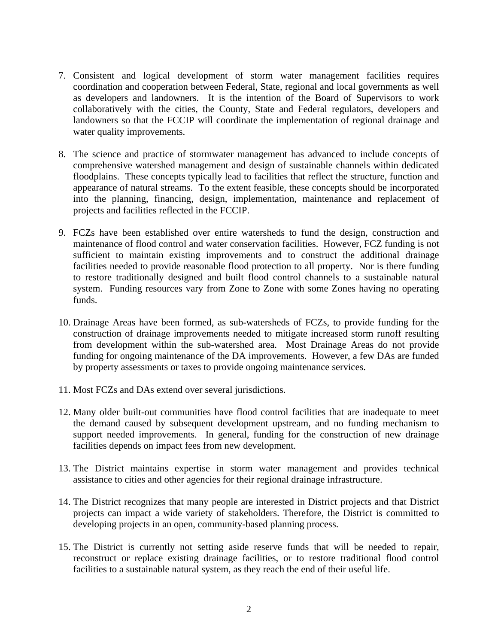- 7. Consistent and logical development of storm water management facilities requires coordination and cooperation between Federal, State, regional and local governments as well as developers and landowners. It is the intention of the Board of Supervisors to work collaboratively with the cities, the County, State and Federal regulators, developers and landowners so that the FCCIP will coordinate the implementation of regional drainage and water quality improvements.
- 8. The science and practice of stormwater management has advanced to include concepts of comprehensive watershed management and design of sustainable channels within dedicated floodplains. These concepts typically lead to facilities that reflect the structure, function and appearance of natural streams. To the extent feasible, these concepts should be incorporated into the planning, financing, design, implementation, maintenance and replacement of projects and facilities reflected in the FCCIP.
- 9. FCZs have been established over entire watersheds to fund the design, construction and maintenance of flood control and water conservation facilities. However, FCZ funding is not sufficient to maintain existing improvements and to construct the additional drainage facilities needed to provide reasonable flood protection to all property. Nor is there funding to restore traditionally designed and built flood control channels to a sustainable natural system. Funding resources vary from Zone to Zone with some Zones having no operating funds.
- 10. Drainage Areas have been formed, as sub-watersheds of FCZs, to provide funding for the construction of drainage improvements needed to mitigate increased storm runoff resulting from development within the sub-watershed area. Most Drainage Areas do not provide funding for ongoing maintenance of the DA improvements. However, a few DAs are funded by property assessments or taxes to provide ongoing maintenance services.
- 11. Most FCZs and DAs extend over several jurisdictions.
- 12. Many older built-out communities have flood control facilities that are inadequate to meet the demand caused by subsequent development upstream, and no funding mechanism to support needed improvements. In general, funding for the construction of new drainage facilities depends on impact fees from new development.
- 13. The District maintains expertise in storm water management and provides technical assistance to cities and other agencies for their regional drainage infrastructure.
- 14. The District recognizes that many people are interested in District projects and that District projects can impact a wide variety of stakeholders. Therefore, the District is committed to developing projects in an open, community-based planning process.
- 15. The District is currently not setting aside reserve funds that will be needed to repair, reconstruct or replace existing drainage facilities, or to restore traditional flood control facilities to a sustainable natural system, as they reach the end of their useful life.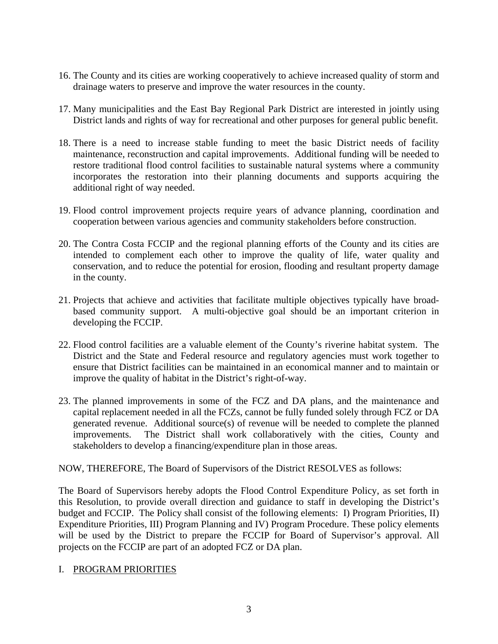- 16. The County and its cities are working cooperatively to achieve increased quality of storm and drainage waters to preserve and improve the water resources in the county.
- 17. Many municipalities and the East Bay Regional Park District are interested in jointly using District lands and rights of way for recreational and other purposes for general public benefit.
- 18. There is a need to increase stable funding to meet the basic District needs of facility maintenance, reconstruction and capital improvements. Additional funding will be needed to restore traditional flood control facilities to sustainable natural systems where a community incorporates the restoration into their planning documents and supports acquiring the additional right of way needed.
- 19. Flood control improvement projects require years of advance planning, coordination and cooperation between various agencies and community stakeholders before construction.
- 20. The Contra Costa FCCIP and the regional planning efforts of the County and its cities are intended to complement each other to improve the quality of life, water quality and conservation, and to reduce the potential for erosion, flooding and resultant property damage in the county.
- 21. Projects that achieve and activities that facilitate multiple objectives typically have broadbased community support. A multi-objective goal should be an important criterion in developing the FCCIP.
- 22. Flood control facilities are a valuable element of the County's riverine habitat system. The District and the State and Federal resource and regulatory agencies must work together to ensure that District facilities can be maintained in an economical manner and to maintain or improve the quality of habitat in the District's right-of-way.
- 23. The planned improvements in some of the FCZ and DA plans, and the maintenance and capital replacement needed in all the FCZs, cannot be fully funded solely through FCZ or DA generated revenue. Additional source(s) of revenue will be needed to complete the planned improvements. The District shall work collaboratively with the cities, County and stakeholders to develop a financing/expenditure plan in those areas.

NOW, THEREFORE, The Board of Supervisors of the District RESOLVES as follows:

The Board of Supervisors hereby adopts the Flood Control Expenditure Policy, as set forth in this Resolution, to provide overall direction and guidance to staff in developing the District's budget and FCCIP. The Policy shall consist of the following elements: I) Program Priorities, II) Expenditure Priorities, III) Program Planning and IV) Program Procedure. These policy elements will be used by the District to prepare the FCCIP for Board of Supervisor's approval. All projects on the FCCIP are part of an adopted FCZ or DA plan.

## I. PROGRAM PRIORITIES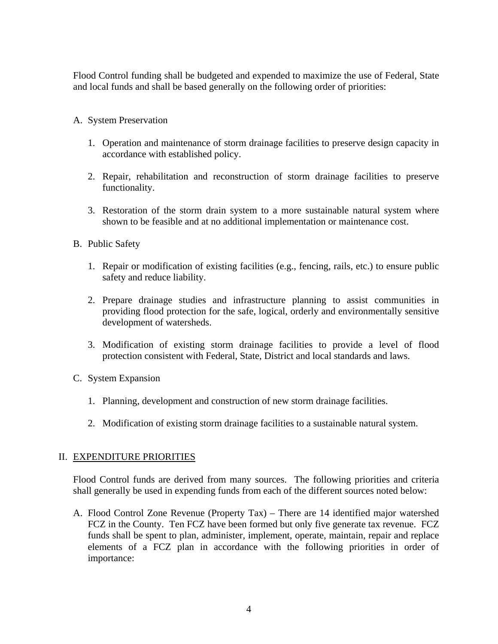Flood Control funding shall be budgeted and expended to maximize the use of Federal, State and local funds and shall be based generally on the following order of priorities:

- A. System Preservation
	- 1. Operation and maintenance of storm drainage facilities to preserve design capacity in accordance with established policy.
	- 2. Repair, rehabilitation and reconstruction of storm drainage facilities to preserve functionality.
	- 3. Restoration of the storm drain system to a more sustainable natural system where shown to be feasible and at no additional implementation or maintenance cost.
- B. Public Safety
	- 1. Repair or modification of existing facilities (e.g., fencing, rails, etc.) to ensure public safety and reduce liability.
	- 2. Prepare drainage studies and infrastructure planning to assist communities in providing flood protection for the safe, logical, orderly and environmentally sensitive development of watersheds.
	- 3. Modification of existing storm drainage facilities to provide a level of flood protection consistent with Federal, State, District and local standards and laws.
- C. System Expansion
	- 1. Planning, development and construction of new storm drainage facilities.
	- 2. Modification of existing storm drainage facilities to a sustainable natural system.

## II. EXPENDITURE PRIORITIES

Flood Control funds are derived from many sources. The following priorities and criteria shall generally be used in expending funds from each of the different sources noted below:

A. Flood Control Zone Revenue (Property Tax) – There are 14 identified major watershed FCZ in the County. Ten FCZ have been formed but only five generate tax revenue. FCZ funds shall be spent to plan, administer, implement, operate, maintain, repair and replace elements of a FCZ plan in accordance with the following priorities in order of importance: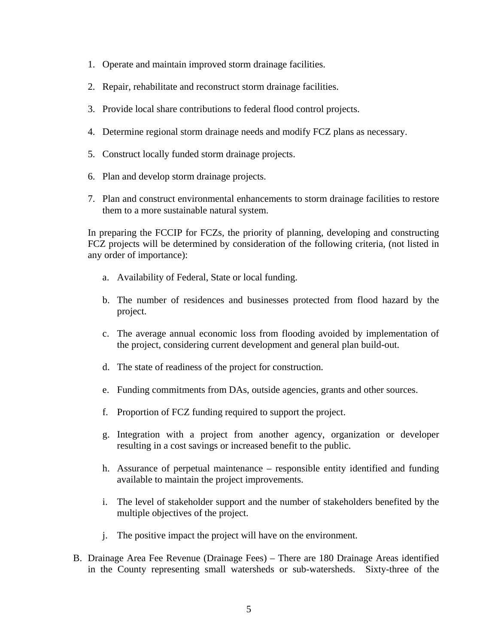- 1. Operate and maintain improved storm drainage facilities.
- 2. Repair, rehabilitate and reconstruct storm drainage facilities.
- 3. Provide local share contributions to federal flood control projects.
- 4. Determine regional storm drainage needs and modify FCZ plans as necessary.
- 5. Construct locally funded storm drainage projects.
- 6. Plan and develop storm drainage projects.
- 7. Plan and construct environmental enhancements to storm drainage facilities to restore them to a more sustainable natural system.

In preparing the FCCIP for FCZs, the priority of planning, developing and constructing FCZ projects will be determined by consideration of the following criteria, (not listed in any order of importance):

- a. Availability of Federal, State or local funding.
- b. The number of residences and businesses protected from flood hazard by the project.
- c. The average annual economic loss from flooding avoided by implementation of the project, considering current development and general plan build-out.
- d. The state of readiness of the project for construction.
- e. Funding commitments from DAs, outside agencies, grants and other sources.
- f. Proportion of FCZ funding required to support the project.
- g. Integration with a project from another agency, organization or developer resulting in a cost savings or increased benefit to the public.
- h. Assurance of perpetual maintenance responsible entity identified and funding available to maintain the project improvements.
- i. The level of stakeholder support and the number of stakeholders benefited by the multiple objectives of the project.
- j. The positive impact the project will have on the environment.
- B. Drainage Area Fee Revenue (Drainage Fees) There are 180 Drainage Areas identified in the County representing small watersheds or sub-watersheds. Sixty-three of the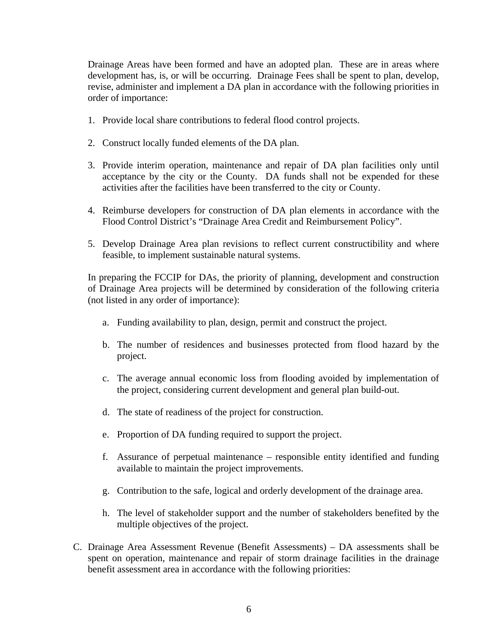Drainage Areas have been formed and have an adopted plan. These are in areas where development has, is, or will be occurring. Drainage Fees shall be spent to plan, develop, revise, administer and implement a DA plan in accordance with the following priorities in order of importance:

- 1. Provide local share contributions to federal flood control projects.
- 2. Construct locally funded elements of the DA plan.
- 3. Provide interim operation, maintenance and repair of DA plan facilities only until acceptance by the city or the County. DA funds shall not be expended for these activities after the facilities have been transferred to the city or County.
- 4. Reimburse developers for construction of DA plan elements in accordance with the Flood Control District's "Drainage Area Credit and Reimbursement Policy".
- 5. Develop Drainage Area plan revisions to reflect current constructibility and where feasible, to implement sustainable natural systems.

In preparing the FCCIP for DAs, the priority of planning, development and construction of Drainage Area projects will be determined by consideration of the following criteria (not listed in any order of importance):

- a. Funding availability to plan, design, permit and construct the project.
- b. The number of residences and businesses protected from flood hazard by the project.
- c. The average annual economic loss from flooding avoided by implementation of the project, considering current development and general plan build-out.
- d. The state of readiness of the project for construction.
- e. Proportion of DA funding required to support the project.
- f. Assurance of perpetual maintenance responsible entity identified and funding available to maintain the project improvements.
- g. Contribution to the safe, logical and orderly development of the drainage area.
- h. The level of stakeholder support and the number of stakeholders benefited by the multiple objectives of the project.
- C. Drainage Area Assessment Revenue (Benefit Assessments) DA assessments shall be spent on operation, maintenance and repair of storm drainage facilities in the drainage benefit assessment area in accordance with the following priorities: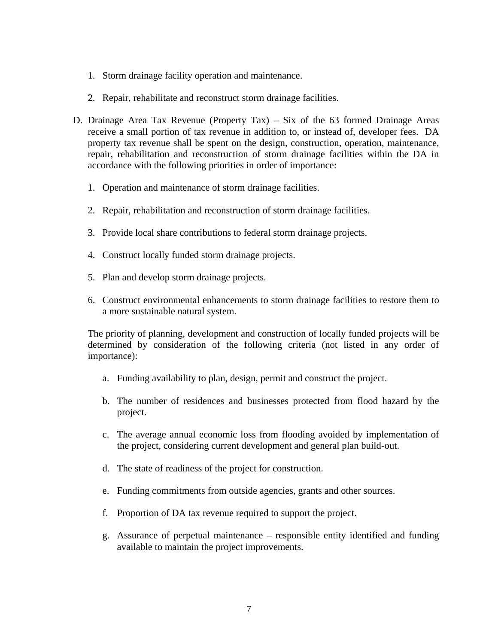- 1. Storm drainage facility operation and maintenance.
- 2. Repair, rehabilitate and reconstruct storm drainage facilities.
- D. Drainage Area Tax Revenue (Property Tax) Six of the 63 formed Drainage Areas receive a small portion of tax revenue in addition to, or instead of, developer fees. DA property tax revenue shall be spent on the design, construction, operation, maintenance, repair, rehabilitation and reconstruction of storm drainage facilities within the DA in accordance with the following priorities in order of importance:
	- 1. Operation and maintenance of storm drainage facilities.
	- 2. Repair, rehabilitation and reconstruction of storm drainage facilities.
	- 3. Provide local share contributions to federal storm drainage projects.
	- 4. Construct locally funded storm drainage projects.
	- 5. Plan and develop storm drainage projects.
	- 6. Construct environmental enhancements to storm drainage facilities to restore them to a more sustainable natural system.

The priority of planning, development and construction of locally funded projects will be determined by consideration of the following criteria (not listed in any order of importance):

- a. Funding availability to plan, design, permit and construct the project.
- b. The number of residences and businesses protected from flood hazard by the project.
- c. The average annual economic loss from flooding avoided by implementation of the project, considering current development and general plan build-out.
- d. The state of readiness of the project for construction.
- e. Funding commitments from outside agencies, grants and other sources.
- f. Proportion of DA tax revenue required to support the project.
- g. Assurance of perpetual maintenance responsible entity identified and funding available to maintain the project improvements.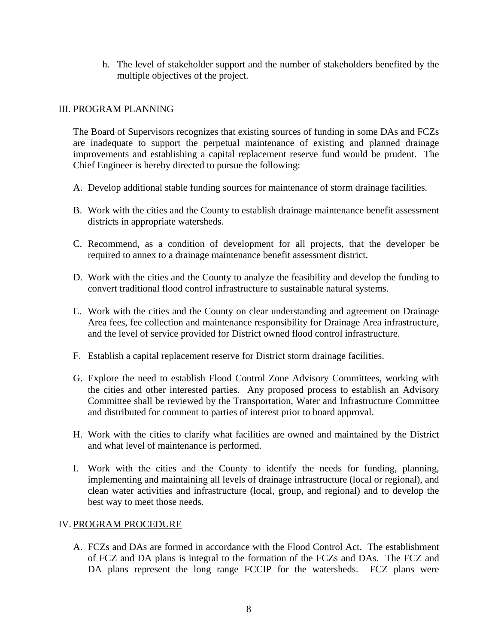h. The level of stakeholder support and the number of stakeholders benefited by the multiple objectives of the project.

#### III. PROGRAM PLANNING

The Board of Supervisors recognizes that existing sources of funding in some DAs and FCZs are inadequate to support the perpetual maintenance of existing and planned drainage improvements and establishing a capital replacement reserve fund would be prudent. The Chief Engineer is hereby directed to pursue the following:

- A. Develop additional stable funding sources for maintenance of storm drainage facilities.
- B. Work with the cities and the County to establish drainage maintenance benefit assessment districts in appropriate watersheds.
- C. Recommend, as a condition of development for all projects, that the developer be required to annex to a drainage maintenance benefit assessment district.
- D. Work with the cities and the County to analyze the feasibility and develop the funding to convert traditional flood control infrastructure to sustainable natural systems.
- E. Work with the cities and the County on clear understanding and agreement on Drainage Area fees, fee collection and maintenance responsibility for Drainage Area infrastructure, and the level of service provided for District owned flood control infrastructure.
- F. Establish a capital replacement reserve for District storm drainage facilities.
- G. Explore the need to establish Flood Control Zone Advisory Committees, working with the cities and other interested parties. Any proposed process to establish an Advisory Committee shall be reviewed by the Transportation, Water and Infrastructure Committee and distributed for comment to parties of interest prior to board approval.
- H. Work with the cities to clarify what facilities are owned and maintained by the District and what level of maintenance is performed.
- I. Work with the cities and the County to identify the needs for funding, planning, implementing and maintaining all levels of drainage infrastructure (local or regional), and clean water activities and infrastructure (local, group, and regional) and to develop the best way to meet those needs.

#### IV. PROGRAM PROCEDURE

A. FCZs and DAs are formed in accordance with the Flood Control Act. The establishment of FCZ and DA plans is integral to the formation of the FCZs and DAs. The FCZ and DA plans represent the long range FCCIP for the watersheds. FCZ plans were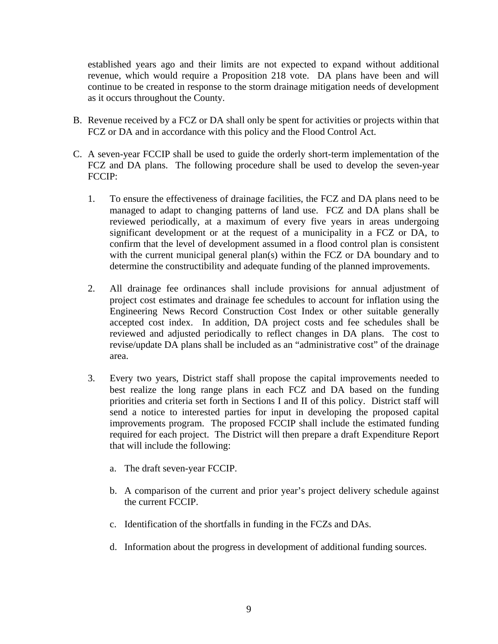established years ago and their limits are not expected to expand without additional revenue, which would require a Proposition 218 vote. DA plans have been and will continue to be created in response to the storm drainage mitigation needs of development as it occurs throughout the County.

- B. Revenue received by a FCZ or DA shall only be spent for activities or projects within that FCZ or DA and in accordance with this policy and the Flood Control Act.
- C. A seven-year FCCIP shall be used to guide the orderly short-term implementation of the FCZ and DA plans. The following procedure shall be used to develop the seven-year FCCIP:
	- 1. To ensure the effectiveness of drainage facilities, the FCZ and DA plans need to be managed to adapt to changing patterns of land use. FCZ and DA plans shall be reviewed periodically, at a maximum of every five years in areas undergoing significant development or at the request of a municipality in a FCZ or DA, to confirm that the level of development assumed in a flood control plan is consistent with the current municipal general plan(s) within the FCZ or DA boundary and to determine the constructibility and adequate funding of the planned improvements.
	- 2. All drainage fee ordinances shall include provisions for annual adjustment of project cost estimates and drainage fee schedules to account for inflation using the Engineering News Record Construction Cost Index or other suitable generally accepted cost index. In addition, DA project costs and fee schedules shall be reviewed and adjusted periodically to reflect changes in DA plans. The cost to revise/update DA plans shall be included as an "administrative cost" of the drainage area.
	- 3. Every two years, District staff shall propose the capital improvements needed to best realize the long range plans in each FCZ and DA based on the funding priorities and criteria set forth in Sections I and II of this policy. District staff will send a notice to interested parties for input in developing the proposed capital improvements program. The proposed FCCIP shall include the estimated funding required for each project. The District will then prepare a draft Expenditure Report that will include the following:
		- a. The draft seven-year FCCIP.
		- b. A comparison of the current and prior year's project delivery schedule against the current FCCIP.
		- c. Identification of the shortfalls in funding in the FCZs and DAs.
		- d. Information about the progress in development of additional funding sources.